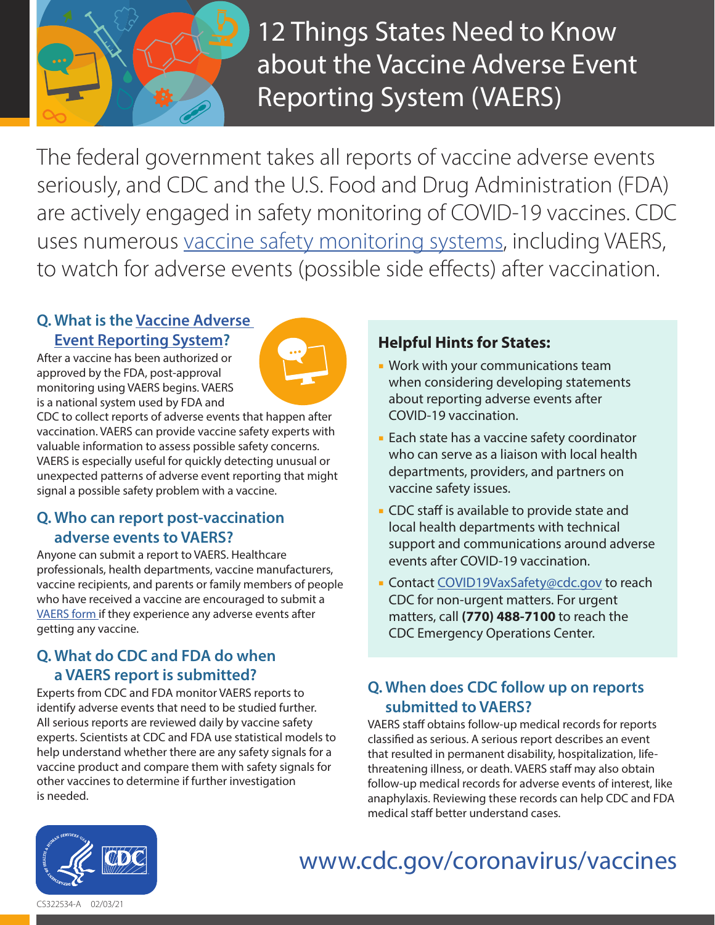

**12 Things States Need to Know** about the Vaccine Adverse Event Reporting System (VAERS)

The federal government takes all reports of vaccine adverse events seriously, and CDC and the U.S. Food and Drug Administration (FDA) are actively engaged in safety monitoring of COVID-19 vaccines. CDC uses numerous [vaccine safety monitoring systems,](https://www.cdc.gov/coronavirus/2019-ncov/vaccines/safety.html) including VAERS, to watch for adverse events (possible side effects) after vaccination.

# **Q. What is the [Vaccine Adverse](https://vaers.hhs.gov/index.html) [Event Reporting System?](https://vaers.hhs.gov/index.html)**

After a vaccine has been authorized or approved by the FDA, post-approval monitoring using VAERS begins. VAERS is a national system used by FDA and



CDC to collect reports of adverse events that happen after vaccination. VAERS can provide vaccine safety experts with valuable information to assess possible safety concerns. VAERS is especially useful for quickly detecting unusual or unexpected patterns of adverse event reporting that might signal a possible safety problem with a vaccine.

# **Q. Who can report post-vaccination adverse events to VAERS?**

Anyone can submit a report to VAERS. Healthcare professionals, health departments, vaccine manufacturers, vaccine recipients, and parents or family members of people who have received a vaccine are encouraged to submit a [VAERS form i](https://vaers.hhs.gov/reportevent.html)f they experience any adverse events after getting any vaccine.

# **Q. What do CDC and FDA do when a VAERS report is submitted?**

Experts from CDC and FDA monitor VAERS reports to identify adverse events that need to be studied further. All serious reports are reviewed daily by vaccine safety experts. Scientists at CDC and FDA use statistical models to help understand whether there are any safety signals for a vaccine product and compare them with safety signals for other vaccines to determine if further investigation is needed.

# **Helpful Hints for States:**

- **Work with your communications team** when considering developing statements about reporting adverse events after COVID-19 vaccination.
- **Each state has a vaccine safety coordinator** who can serve as a liaison with local health departments, providers, and partners on vaccine safety issues.
- **CDC** staff is available to provide state and local health departments with technical support and communications around adverse events after COVID-19 vaccination.
- **Contact [COVID19VaxSafety@cdc.gov](mailto:COVID19VaxSafety@cdc.gov) to reach** CDC for non-urgent matters. For urgent matters, call **(770) 488-7100** to reach the CDC Emergency Operations Center.

# **Q. When does CDC follow up on reports submitted to VAERS?**

VAERS staff obtains follow-up medical records for reports classified as serious. A serious report describes an event that resulted in permanent disability, hospitalization, lifethreatening illness, or death. VAERS staff may also obtain follow-up medical records for adverse events of interest, like anaphylaxis. Reviewing these records can help CDC and FDA medical staff better understand cases.



#### [www.cdc.gov/coronavirus/vaccines](https://www.cdc.gov/coronavirus/vaccines) **Health and Human Services**

CS322534-A 02/03/21